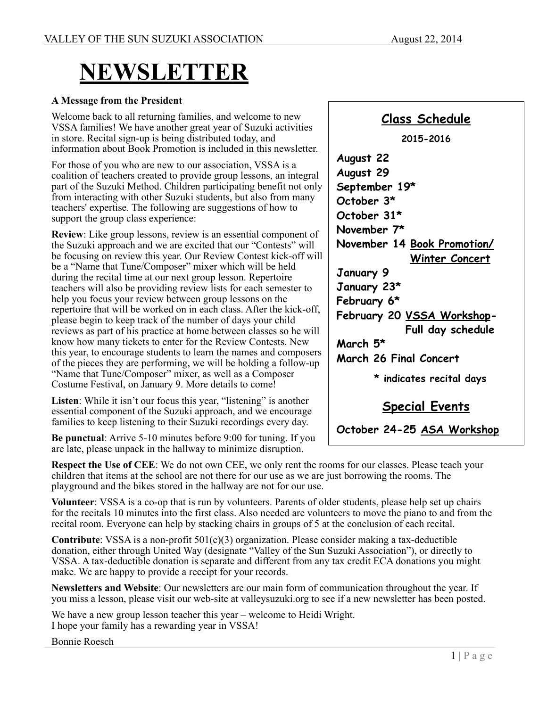# **NEWSLETTER**

#### **A Message from the President**

Welcome back to all returning families, and welcome to new VSSA families! We have another great year of Suzuki activities in store. Recital sign-up is being distributed today, and information about Book Promotion is included in this newsletter.

For those of you who are new to our association, VSSA is a coalition of teachers created to provide group lessons, an integral part of the Suzuki Method. Children participating benefit not only from interacting with other Suzuki students, but also from many teachers' expertise. The following are suggestions of how to support the group class experience:

**Review**: Like group lessons, review is an essential component of the Suzuki approach and we are excited that our "Contests" will be focusing on review this year. Our Review Contest kick-off will be a "Name that Tune/Composer" mixer which will be held during the recital time at our next group lesson. Repertoire teachers will also be providing review lists for each semester to help you focus your review between group lessons on the repertoire that will be worked on in each class. After the kick-off, please begin to keep track of the number of days your child reviews as part of his practice at home between classes so he will know how many tickets to enter for the Review Contests. New this year, to encourage students to learn the names and composers of the pieces they are performing, we will be holding a follow-up "Name that Tune/Composer" mixer, as well as a Composer Costume Festival, on January 9. More details to come!

Listen: While it isn't our focus this year, "listening" is another essential component of the Suzuki approach, and we encourage families to keep listening to their Suzuki recordings every day.

**Be punctual**: Arrive 5-10 minutes before 9:00 for tuning. If you are late, please unpack in the hallway to minimize disruption.

**Respect the Use of CEE**: We do not own CEE, we only rent the rooms for our classes. Please teach your children that items at the school are not there for our use as we are just borrowing the rooms. The playground and the bikes stored in the hallway are not for our use.

**Volunteer**: VSSA is a co-op that is run by volunteers. Parents of older students, please help set up chairs for the recitals 10 minutes into the first class. Also needed are volunteers to move the piano to and from the recital room. Everyone can help by stacking chairs in groups of 5 at the conclusion of each recital.

**Contribute**: VSSA is a non-profit 501(c)(3) organization. Please consider making a tax-deductible donation, either through United Way (designate "Valley of the Sun Suzuki Association"), or directly to VSSA. A tax-deductible donation is separate and different from any tax credit ECA donations you might make. We are happy to provide a receipt for your records.

**Newsletters and Website**: Our newsletters are our main form of communication throughout the year. If you miss a lesson, please visit our web-site at valleysuzuki.org to see if a new newsletter has been posted.

We have a new group lesson teacher this year – welcome to Heidi Wright. I hope your family has a rewarding year in VSSA!

Bonnie Roesch

#### **Class Schedule**

**2015-2016 August 22 August 29 September 19\* October 3\* October 31\* November 7\* November 14 Book Promotion/ Winter Concert January 9 January 23\* February 6\* February 20 VSSA Workshop- Full day schedule March 5\* March 26 Final Concert \* indicates recital days**

**Special Events**

 **October 24-25 ASA Workshop**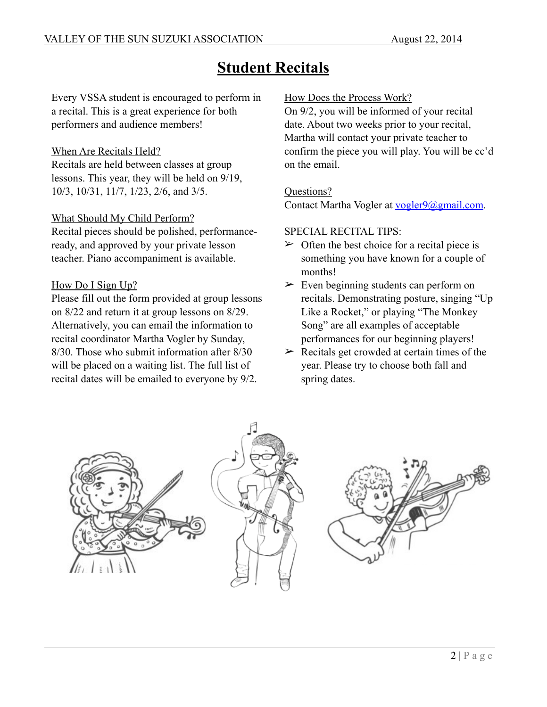# **Student Recitals**

Every VSSA student is encouraged to perform in a recital. This is a great experience for both performers and audience members!

#### When Are Recitals Held?

Recitals are held between classes at group lessons. This year, they will be held on 9/19, 10/3, 10/31, 11/7, 1/23, 2/6, and 3/5.

#### What Should My Child Perform?

Recital pieces should be polished, performanceready, and approved by your private lesson teacher. Piano accompaniment is available.

#### How Do I Sign Up?

Please fill out the form provided at group lessons on 8/22 and return it at group lessons on 8/29. Alternatively, you can email the information to recital coordinator Martha Vogler by Sunday, 8/30. Those who submit information after 8/30 will be placed on a waiting list. The full list of recital dates will be emailed to everyone by 9/2.

#### How Does the Process Work?

On 9/2, you will be informed of your recital date. About two weeks prior to your recital, Martha will contact your private teacher to confirm the piece you will play. You will be cc'd on the email.

#### Questions?

Contact Martha Vogler at [vogler9@gmail.com](mailto:vogler9@gmail.com).

#### SPECIAL RECITAL TIPS:

- $\geq$  Often the best choice for a recital piece is something you have known for a couple of months!
- $\geq$  Even beginning students can perform on recitals. Demonstrating posture, singing "Up Like a Rocket," or playing "The Monkey Song" are all examples of acceptable performances for our beginning players!
- $\triangleright$  Recitals get crowded at certain times of the year. Please try to choose both fall and spring dates.



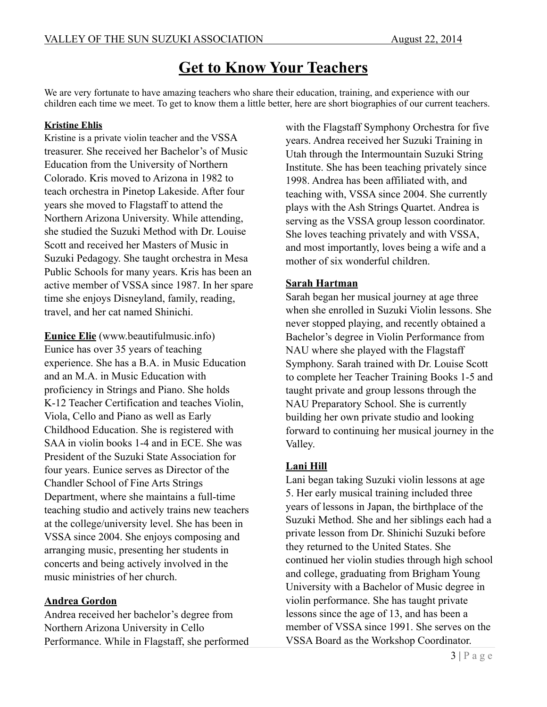## **Get to Know Your Teachers**

We are very fortunate to have amazing teachers who share their education, training, and experience with our children each time we meet. To get to know them a little better, here are short biographies of our current teachers.

#### **Kristine Ehlis**

Kristine is a private violin teacher and the VSSA treasurer. She received her Bachelor's of Music Education from the University of Northern Colorado. Kris moved to Arizona in 1982 to teach orchestra in Pinetop Lakeside. After four years she moved to Flagstaff to attend the Northern Arizona University. While attending, she studied the Suzuki Method with Dr. Louise Scott and received her Masters of Music in Suzuki Pedagogy. She taught orchestra in Mesa Public Schools for many years. Kris has been an active member of VSSA since 1987. In her spare time she enjoys Disneyland, family, reading, travel, and her cat named Shinichi.

**Eunice Elie** (www.beautifulmusic.info) Eunice has over 35 years of teaching experience. She has a B.A. in Music Education and an M.A. in Music Education with proficiency in Strings and Piano. She holds K-12 Teacher Certification and teaches Violin, Viola, Cello and Piano as well as Early Childhood Education. She is registered with SAA in violin books 1-4 and in ECE. She was President of the Suzuki State Association for four years. Eunice serves as Director of the Chandler School of Fine Arts Strings Department, where she maintains a full-time teaching studio and actively trains new teachers at the college/university level. She has been in VSSA since 2004. She enjoys composing and arranging music, presenting her students in concerts and being actively involved in the music ministries of her church.

#### **Andrea Gordon**

Andrea received her bachelor's degree from Northern Arizona University in Cello Performance. While in Flagstaff, she performed

with the Flagstaff Symphony Orchestra for five years. Andrea received her Suzuki Training in Utah through the Intermountain Suzuki String Institute. She has been teaching privately since 1998. Andrea has been affiliated with, and teaching with, VSSA since 2004. She currently plays with the Ash Strings Quartet. Andrea is serving as the VSSA group lesson coordinator. She loves teaching privately and with VSSA, and most importantly, loves being a wife and a mother of six wonderful children.

#### **Sarah Hartman**

Sarah began her musical journey at age three when she enrolled in Suzuki Violin lessons. She never stopped playing, and recently obtained a Bachelor's degree in Violin Performance from NAU where she played with the Flagstaff Symphony. Sarah trained with Dr. Louise Scott to complete her Teacher Training Books 1-5 and taught private and group lessons through the NAU Preparatory School. She is currently building her own private studio and looking forward to continuing her musical journey in the Valley.

#### **Lani Hill**

Lani began taking Suzuki violin lessons at age 5. Her early musical training included three years of lessons in Japan, the birthplace of the Suzuki Method. She and her siblings each had a private lesson from Dr. Shinichi Suzuki before they returned to the United States. She continued her violin studies through high school and college, graduating from Brigham Young University with a Bachelor of Music degree in violin performance. She has taught private lessons since the age of 13, and has been a member of VSSA since 1991. She serves on the VSSA Board as the Workshop Coordinator.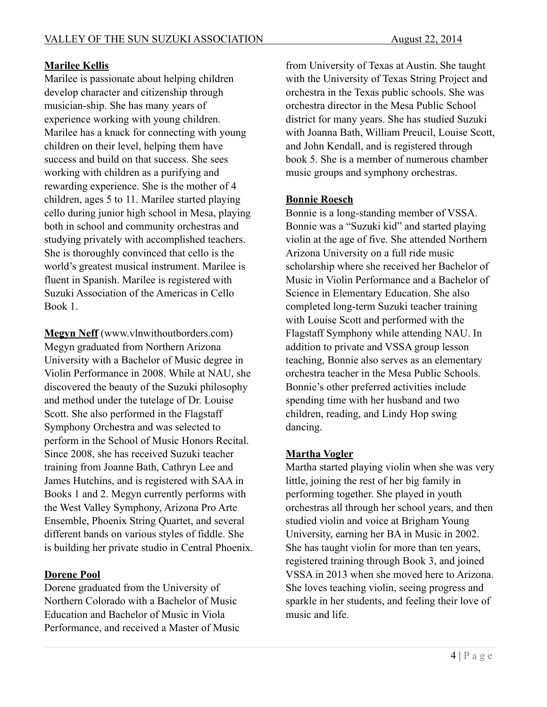#### **Marilee Kellis**

Marilee is passionate about helping children develop character and citizenship through musician-ship. She has many years of experience working with young children. Marilee has a knack for connecting with young children on their level, helping them have success and build on that success. She sees working with children as a purifying and rewarding experience. She is the mother of 4 children, ages 5 to 11. Marilee started playing cello during junior high school in Mesa, playing both in school and community orchestras and studying privately with accomplished teachers. She is thoroughly convinced that cello is the world's greatest musical instrument. Marilee is fluent in Spanish. Marilee is registered with Suzuki Association of the Americas in Cello Book 1.

**Megyn Neff** (www.vlnwithoutborders.com) Megyn graduated from Northern Arizona University with a Bachelor of Music degree in Violin Performance in 2008. While at NAU, she discovered the beauty of the Suzuki philosophy and method under the tutelage of Dr. Louise Scott. She also performed in the Flagstaff Symphony Orchestra and was selected to perform in the School of Music Honors Recital. Since 2008, she has received Suzuki teacher training from Joanne Bath, Cathryn Lee and James Hutchins, and is registered with SAA in Books 1 and 2. Megyn currently performs with the West Valley Symphony, Arizona Pro Arte Ensemble, Phoenix String Quartet, and several different bands on various styles of fiddle. She is building her private studio in Central Phoenix.

#### **Dorene Pool**

Dorene graduated from the University of Northern Colorado with a Bachelor of Music Education and Bachelor of Music in Viola Performance, and received a Master of Music

from University of Texas at Austin. She taught with the University of Texas String Project and orchestra in the Texas public schools. She was orchestra director in the Mesa Public School district for many years. She has studied Suzuki with Joanna Bath, William Preucil, Louise Scott, and John Kendall, and is registered through book 5. She is a member of numerous chamber music groups and symphony orchestras.

#### **Bonnie Roesch**

Bonnie is a long-standing member of VSSA. Bonnie was a "Suzuki kid" and started playing violin at the age of five. She attended Northern Arizona University on a full ride music scholarship where she received her Bachelor of Music in Violin Performance and a Bachelor of Science in Elementary Education. She also completed long-term Suzuki teacher training with Louise Scott and performed with the Flagstaff Symphony while attending NAU. In addition to private and VSSA group lesson teaching, Bonnie also serves as an elementary orchestra teacher in the Mesa Public Schools. Bonnie's other preferred activities include spending time with her husband and two children, reading, and Lindy Hop swing dancing.

#### **Martha Vogler**

Martha started playing violin when she was very little, joining the rest of her big family in performing together. She played in youth orchestras all through her school years, and then studied violin and voice at Brigham Young University, earning her BA in Music in 2002. She has taught violin for more than ten years, registered training through Book 3, and joined VSSA in 2013 when she moved here to Arizona. She loves teaching violin, seeing progress and sparkle in her students, and feeling their love of music and life.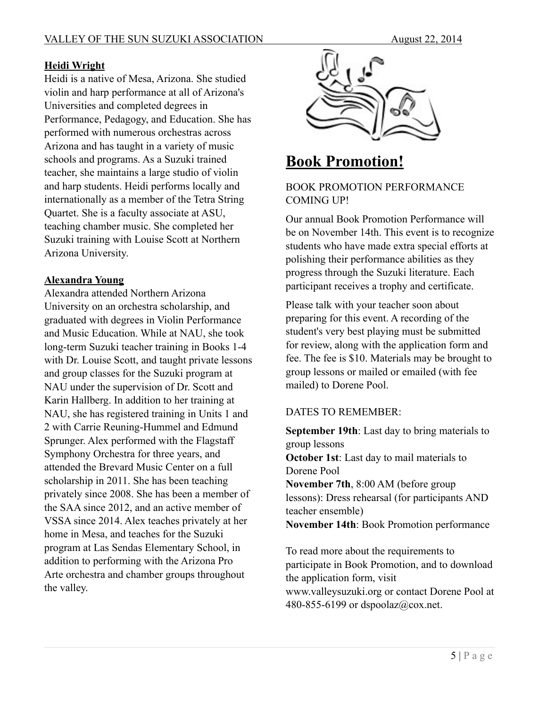#### **Heidi Wright**

Heidi is a native of Mesa, Arizona. She studied violin and harp performance at all of Arizona's Universities and completed degrees in Performance, Pedagogy, and Education. She has performed with numerous orchestras across Arizona and has taught in a variety of music schools and programs. As a Suzuki trained teacher, she maintains a large studio of violin and harp students. Heidi performs locally and internationally as a member of the Tetra String Quartet. She is a faculty associate at ASU, teaching chamber music. She completed her Suzuki training with Louise Scott at Northern Arizona University.

#### **Alexandra Young**

Alexandra attended Northern Arizona University on an orchestra scholarship, and graduated with degrees in Violin Performance and Music Education. While at NAU, she took long-term Suzuki teacher training in Books 1-4 with Dr. Louise Scott, and taught private lessons and group classes for the Suzuki program at NAU under the supervision of Dr. Scott and Karin Hallberg. In addition to her training at NAU, she has registered training in Units 1 and 2 with Carrie Reuning-Hummel and Edmund Sprunger. Alex performed with the Flagstaff Symphony Orchestra for three years, and attended the Brevard Music Center on a full scholarship in 2011. She has been teaching privately since 2008. She has been a member of the SAA since 2012, and an active member of VSSA since 2014. Alex teaches privately at her home in Mesa, and teaches for the Suzuki program at Las Sendas Elementary School, in addition to performing with the Arizona Pro Arte orchestra and chamber groups throughout the valley.



# **Book Promotion!**

#### BOOK PROMOTION PERFORMANCE COMING UP!

Our annual Book Promotion Performance will be on November 14th. This event is to recognize students who have made extra special efforts at polishing their performance abilities as they progress through the Suzuki literature. Each participant receives a trophy and certificate.

Please talk with your teacher soon about preparing for this event. A recording of the student's very best playing must be submitted for review, along with the application form and fee. The fee is \$10. Materials may be brought to group lessons or mailed or emailed (with fee mailed) to Dorene Pool.

#### DATES TO REMEMBER:

**September 19th**: Last day to bring materials to group lessons **October 1st**: Last day to mail materials to Dorene Pool **November 7th**, 8:00 AM (before group lessons): Dress rehearsal (for participants AND teacher ensemble) **November 14th**: Book Promotion performance

To read more about the requirements to participate in Book Promotion, and to download the application form, visit www.valleysuzuki.org or contact Dorene Pool at 480-855-6199 or dspoolaz@cox.net.